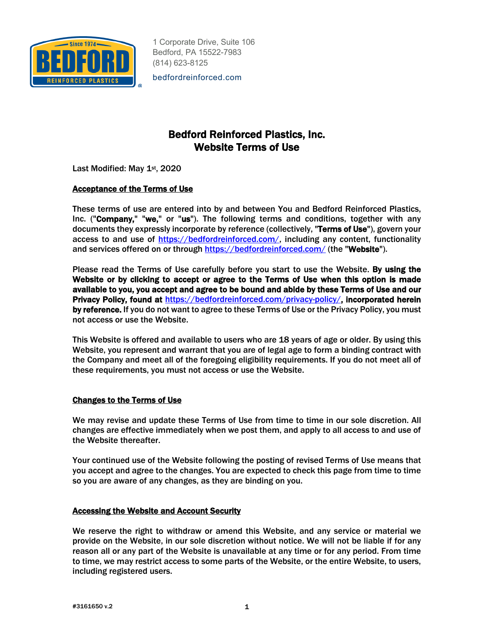

bedfordreinforced.com

# Bedford Reinforced Plastics, Inc. Website Terms of Use

Last Modified: May 1st, 2020

# Acceptance of the Terms of Use

These terms of use are entered into by and between You and Bedford Reinforced Plastics, Inc. ("Company," "we," or "us"). The following terms and conditions, together with any documents they expressly incorporate by reference (collectively, "Terms of Use"), govern your access to and use of https://bedfordreinforced.com/, including any content, functionality and services offered on or through https://bedfordreinforced.com/ (the "Website").

Please read the Terms of Use carefully before you start to use the Website. By using the Website or by clicking to accept or agree to the Terms of Use when this option is made available to you, you accept and agree to be bound and abide by these Terms of Use and our Privacy Policy, found at https://bedfordreinforced.com/privacy-policy/, incorporated herein by reference. If you do not want to agree to these Terms of Use or the Privacy Policy, you must not access or use the Website.

This Website is offered and available to users who are 18 years of age or older. By using this Website, you represent and warrant that you are of legal age to form a binding contract with the Company and meet all of the foregoing eligibility requirements. If you do not meet all of these requirements, you must not access or use the Website.

## Changes to the Terms of Use

We may revise and update these Terms of Use from time to time in our sole discretion. All changes are effective immediately when we post them, and apply to all access to and use of the Website thereafter.

Your continued use of the Website following the posting of revised Terms of Use means that you accept and agree to the changes. You are expected to check this page from time to time so you are aware of any changes, as they are binding on you.

## Accessing the Website and Account Security

We reserve the right to withdraw or amend this Website, and any service or material we provide on the Website, in our sole discretion without notice. We will not be liable if for any reason all or any part of the Website is unavailable at any time or for any period. From time to time, we may restrict access to some parts of the Website, or the entire Website, to users, including registered users.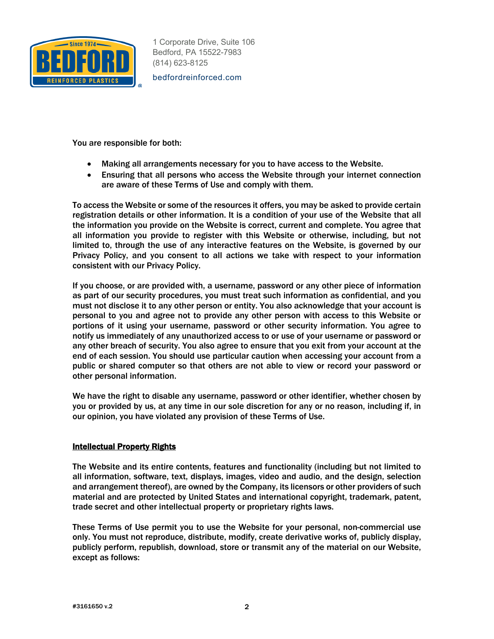

bedfordreinforced.com

You are responsible for both:

- Making all arrangements necessary for you to have access to the Website.
- Ensuring that all persons who access the Website through your internet connection are aware of these Terms of Use and comply with them.

To access the Website or some of the resources it offers, you may be asked to provide certain registration details or other information. It is a condition of your use of the Website that all the information you provide on the Website is correct, current and complete. You agree that all information you provide to register with this Website or otherwise, including, but not limited to, through the use of any interactive features on the Website, is governed by our Privacy Policy, and you consent to all actions we take with respect to your information consistent with our Privacy Policy.

If you choose, or are provided with, a username, password or any other piece of information as part of our security procedures, you must treat such information as confidential, and you must not disclose it to any other person or entity. You also acknowledge that your account is personal to you and agree not to provide any other person with access to this Website or portions of it using your username, password or other security information. You agree to notify us immediately of any unauthorized access to or use of your username or password or any other breach of security. You also agree to ensure that you exit from your account at the end of each session. You should use particular caution when accessing your account from a public or shared computer so that others are not able to view or record your password or other personal information.

We have the right to disable any username, password or other identifier, whether chosen by you or provided by us, at any time in our sole discretion for any or no reason, including if, in our opinion, you have violated any provision of these Terms of Use.

#### Intellectual Property Rights

The Website and its entire contents, features and functionality (including but not limited to all information, software, text, displays, images, video and audio, and the design, selection and arrangement thereof), are owned by the Company, its licensors or other providers of such material and are protected by United States and international copyright, trademark, patent, trade secret and other intellectual property or proprietary rights laws.

These Terms of Use permit you to use the Website for your personal, non-commercial use only. You must not reproduce, distribute, modify, create derivative works of, publicly display, publicly perform, republish, download, store or transmit any of the material on our Website, except as follows: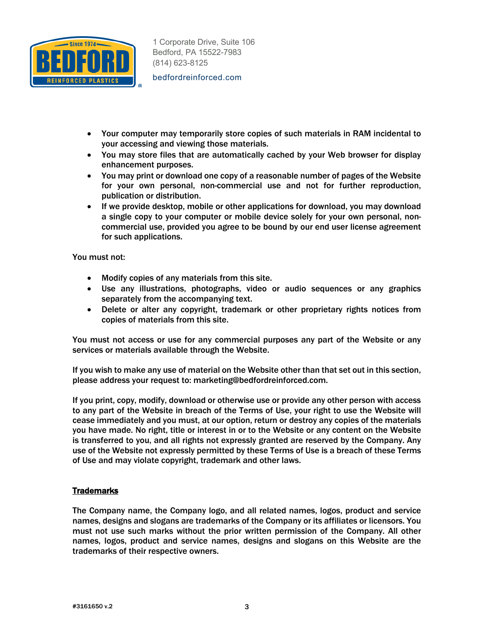

bedfordreinforced.com

- Your computer may temporarily store copies of such materials in RAM incidental to your accessing and viewing those materials.
- You may store files that are automatically cached by your Web browser for display enhancement purposes.
- You may print or download one copy of a reasonable number of pages of the Website for your own personal, non-commercial use and not for further reproduction, publication or distribution.
- If we provide desktop, mobile or other applications for download, you may download a single copy to your computer or mobile device solely for your own personal, noncommercial use, provided you agree to be bound by our end user license agreement for such applications.

You must not:

- Modify copies of any materials from this site.
- Use any illustrations, photographs, video or audio sequences or any graphics separately from the accompanying text.
- Delete or alter any copyright, trademark or other proprietary rights notices from copies of materials from this site.

You must not access or use for any commercial purposes any part of the Website or any services or materials available through the Website.

If you wish to make any use of material on the Website other than that set out in this section, please address your request to: marketing@bedfordreinforced.com.

If you print, copy, modify, download or otherwise use or provide any other person with access to any part of the Website in breach of the Terms of Use, your right to use the Website will cease immediately and you must, at our option, return or destroy any copies of the materials you have made. No right, title or interest in or to the Website or any content on the Website is transferred to you, and all rights not expressly granted are reserved by the Company. Any use of the Website not expressly permitted by these Terms of Use is a breach of these Terms of Use and may violate copyright, trademark and other laws.

## **Trademarks**

The Company name, the Company logo, and all related names, logos, product and service names, designs and slogans are trademarks of the Company or its affiliates or licensors. You must not use such marks without the prior written permission of the Company. All other names, logos, product and service names, designs and slogans on this Website are the trademarks of their respective owners.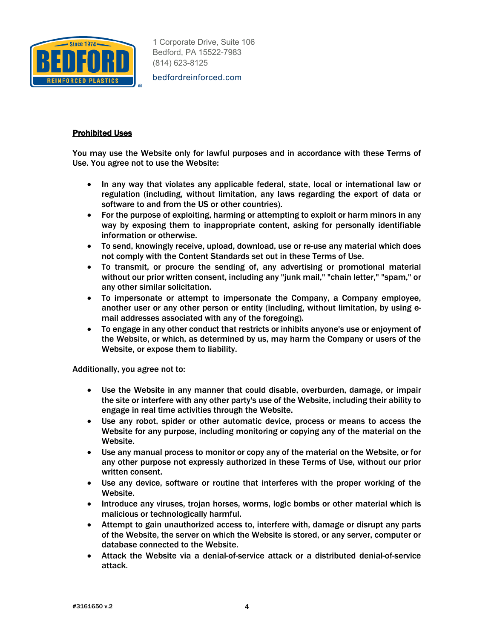

bedfordreinforced.com

## Prohibited Uses

You may use the Website only for lawful purposes and in accordance with these Terms of Use. You agree not to use the Website:

- In any way that violates any applicable federal, state, local or international law or regulation (including, without limitation, any laws regarding the export of data or software to and from the US or other countries).
- For the purpose of exploiting, harming or attempting to exploit or harm minors in any way by exposing them to inappropriate content, asking for personally identifiable information or otherwise.
- To send, knowingly receive, upload, download, use or re-use any material which does not comply with the Content Standards set out in these Terms of Use.
- To transmit, or procure the sending of, any advertising or promotional material without our prior written consent, including any "junk mail," "chain letter," "spam," or any other similar solicitation.
- To impersonate or attempt to impersonate the Company, a Company employee, another user or any other person or entity (including, without limitation, by using email addresses associated with any of the foregoing).
- To engage in any other conduct that restricts or inhibits anyone's use or enjoyment of the Website, or which, as determined by us, may harm the Company or users of the Website, or expose them to liability.

Additionally, you agree not to:

- Use the Website in any manner that could disable, overburden, damage, or impair the site or interfere with any other party's use of the Website, including their ability to engage in real time activities through the Website.
- Use any robot, spider or other automatic device, process or means to access the Website for any purpose, including monitoring or copying any of the material on the Website.
- Use any manual process to monitor or copy any of the material on the Website, or for any other purpose not expressly authorized in these Terms of Use, without our prior written consent.
- Use any device, software or routine that interferes with the proper working of the Website.
- Introduce any viruses, trojan horses, worms, logic bombs or other material which is malicious or technologically harmful.
- Attempt to gain unauthorized access to, interfere with, damage or disrupt any parts of the Website, the server on which the Website is stored, or any server, computer or database connected to the Website.
- Attack the Website via a denial-of-service attack or a distributed denial-of-service attack.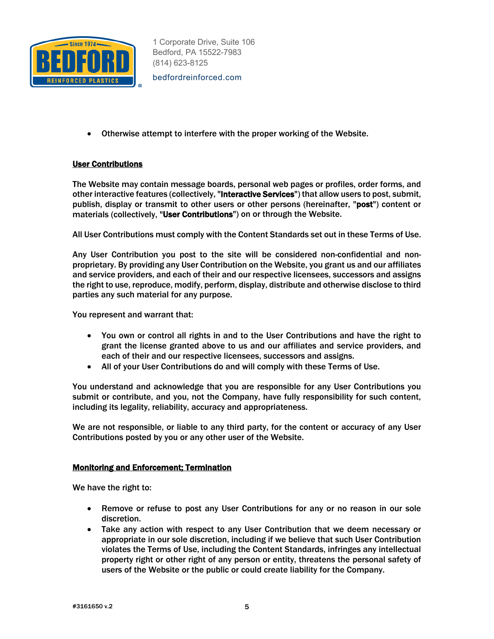

bedfordreinforced.com

• Otherwise attempt to interfere with the proper working of the Website.

# User Contributions

The Website may contain message boards, personal web pages or profiles, order forms, and other interactive features (collectively, "**Interactive Services**") that allow users to post, submit, publish, display or transmit to other users or other persons (hereinafter, "post") content or materials (collectively, "User Contributions") on or through the Website.

All User Contributions must comply with the Content Standards set out in these Terms of Use.

Any User Contribution you post to the site will be considered non-confidential and nonproprietary. By providing any User Contribution on the Website, you grant us and our affiliates and service providers, and each of their and our respective licensees, successors and assigns the right to use, reproduce, modify, perform, display, distribute and otherwise disclose to third parties any such material for any purpose.

You represent and warrant that:

- You own or control all rights in and to the User Contributions and have the right to grant the license granted above to us and our affiliates and service providers, and each of their and our respective licensees, successors and assigns.
- All of your User Contributions do and will comply with these Terms of Use.

You understand and acknowledge that you are responsible for any User Contributions you submit or contribute, and you, not the Company, have fully responsibility for such content, including its legality, reliability, accuracy and appropriateness.

We are not responsible, or liable to any third party, for the content or accuracy of any User Contributions posted by you or any other user of the Website.

#### Monitoring and Enforcement; Termination

We have the right to:

- Remove or refuse to post any User Contributions for any or no reason in our sole discretion.
- Take any action with respect to any User Contribution that we deem necessary or appropriate in our sole discretion, including if we believe that such User Contribution violates the Terms of Use, including the Content Standards, infringes any intellectual property right or other right of any person or entity, threatens the personal safety of users of the Website or the public or could create liability for the Company.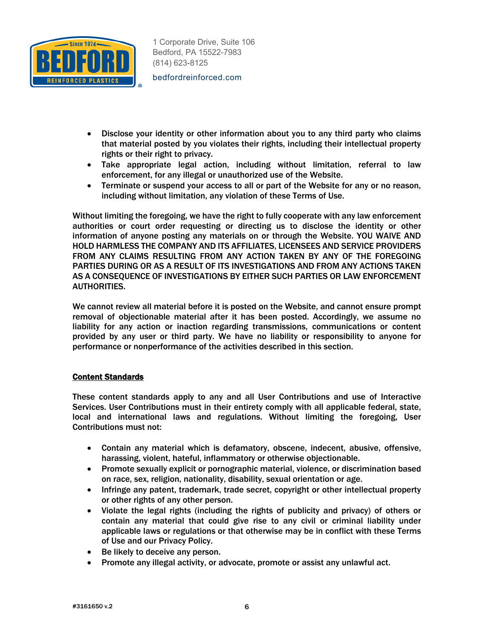

bedfordreinforced.com

- Disclose your identity or other information about you to any third party who claims that material posted by you violates their rights, including their intellectual property rights or their right to privacy.
- Take appropriate legal action, including without limitation, referral to law enforcement, for any illegal or unauthorized use of the Website.
- Terminate or suspend your access to all or part of the Website for any or no reason, including without limitation, any violation of these Terms of Use.

Without limiting the foregoing, we have the right to fully cooperate with any law enforcement authorities or court order requesting or directing us to disclose the identity or other information of anyone posting any materials on or through the Website. YOU WAIVE AND HOLD HARMLESS THE COMPANY AND ITS AFFILIATES, LICENSEES AND SERVICE PROVIDERS FROM ANY CLAIMS RESULTING FROM ANY ACTION TAKEN BY ANY OF THE FOREGOING PARTIES DURING OR AS A RESULT OF ITS INVESTIGATIONS AND FROM ANY ACTIONS TAKEN AS A CONSEQUENCE OF INVESTIGATIONS BY EITHER SUCH PARTIES OR LAW ENFORCEMENT AUTHORITIES.

We cannot review all material before it is posted on the Website, and cannot ensure prompt removal of objectionable material after it has been posted. Accordingly, we assume no liability for any action or inaction regarding transmissions, communications or content provided by any user or third party. We have no liability or responsibility to anyone for performance or nonperformance of the activities described in this section.

## Content Standards

These content standards apply to any and all User Contributions and use of Interactive Services. User Contributions must in their entirety comply with all applicable federal, state, local and international laws and regulations. Without limiting the foregoing, User Contributions must not:

- Contain any material which is defamatory, obscene, indecent, abusive, offensive, harassing, violent, hateful, inflammatory or otherwise objectionable.
- Promote sexually explicit or pornographic material, violence, or discrimination based on race, sex, religion, nationality, disability, sexual orientation or age.
- Infringe any patent, trademark, trade secret, copyright or other intellectual property or other rights of any other person.
- Violate the legal rights (including the rights of publicity and privacy) of others or contain any material that could give rise to any civil or criminal liability under applicable laws or regulations or that otherwise may be in conflict with these Terms of Use and our Privacy Policy.
- Be likely to deceive any person.
- Promote any illegal activity, or advocate, promote or assist any unlawful act.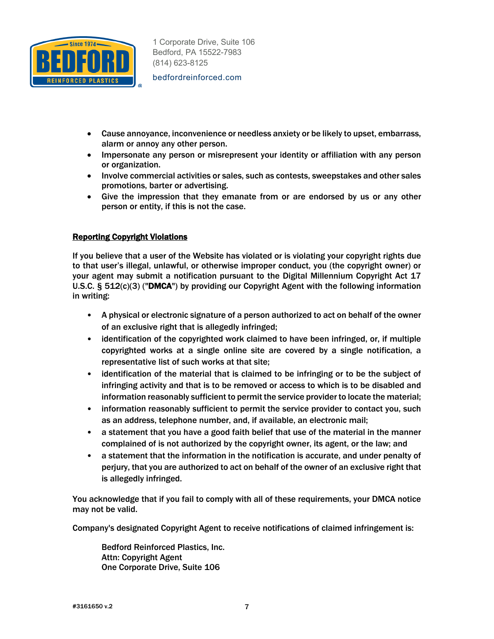

bedfordreinforced.com

- Cause annoyance, inconvenience or needless anxiety or be likely to upset, embarrass, alarm or annoy any other person.
- Impersonate any person or misrepresent your identity or affiliation with any person or organization.
- Involve commercial activities or sales, such as contests, sweepstakes and other sales promotions, barter or advertising.
- Give the impression that they emanate from or are endorsed by us or any other person or entity, if this is not the case.

# Reporting Copyright Violations

If you believe that a user of the Website has violated or is violating your copyright rights due to that user's illegal, unlawful, or otherwise improper conduct, you (the copyright owner) or your agent may submit a notification pursuant to the Digital Millennium Copyright Act 17 U.S.C.  $\S$  512(c)(3) ("DMCA") by providing our Copyright Agent with the following information in writing:

- A physical or electronic signature of a person authorized to act on behalf of the owner of an exclusive right that is allegedly infringed;
- identification of the copyrighted work claimed to have been infringed, or, if multiple copyrighted works at a single online site are covered by a single notification, a representative list of such works at that site;
- identification of the material that is claimed to be infringing or to be the subject of infringing activity and that is to be removed or access to which is to be disabled and information reasonably sufficient to permit the service provider to locate the material;
- information reasonably sufficient to permit the service provider to contact you, such as an address, telephone number, and, if available, an electronic mail;
- a statement that you have a good faith belief that use of the material in the manner complained of is not authorized by the copyright owner, its agent, or the law; and
- a statement that the information in the notification is accurate, and under penalty of perjury, that you are authorized to act on behalf of the owner of an exclusive right that is allegedly infringed.

You acknowledge that if you fail to comply with all of these requirements, your DMCA notice may not be valid.

Company's designated Copyright Agent to receive notifications of claimed infringement is:

Bedford Reinforced Plastics, Inc. Attn: Copyright Agent One Corporate Drive, Suite 106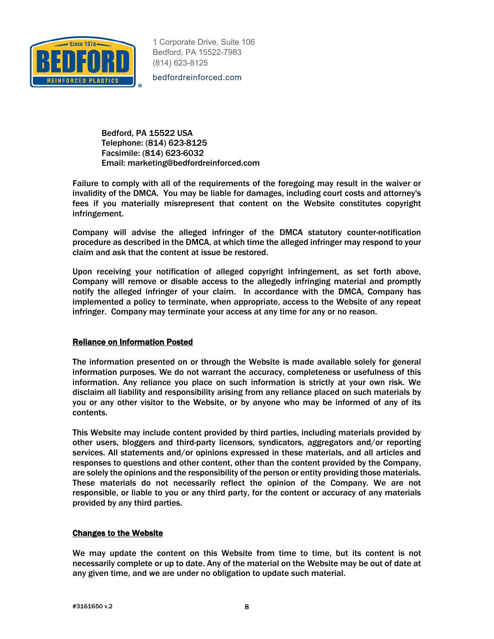

bedfordreinforced.com

Bedford, PA 15522 USA Telephone: (814) 623-8125 Facsimile: (814) 623-6032 Email: marketing@bedfordreinforced.com

Failure to comply with all of the requirements of the foregoing may result in the waiver or invalidity of the DMCA. You may be liable for damages, including court costs and attorney's fees if you materially misrepresent that content on the Website constitutes copyright infringement.

Company will advise the alleged infringer of the DMCA statutory counter-notification procedure as described in the DMCA, at which time the alleged infringer may respond to your claim and ask that the content at issue be restored.

Upon receiving your notification of alleged copyright infringement, as set forth above, Company will remove or disable access to the allegedly infringing material and promptly notify the alleged infringer of your claim. In accordance with the DMCA, Company has implemented a policy to terminate, when appropriate, access to the Website of any repeat infringer. Company may terminate your access at any time for any or no reason.

## Reliance on Information Posted

The information presented on or through the Website is made available solely for general information purposes. We do not warrant the accuracy, completeness or usefulness of this information. Any reliance you place on such information is strictly at your own risk. We disclaim all liability and responsibility arising from any reliance placed on such materials by you or any other visitor to the Website, or by anyone who may be informed of any of its contents.

This Website may include content provided by third parties, including materials provided by other users, bloggers and third-party licensors, syndicators, aggregators and/or reporting services. All statements and/or opinions expressed in these materials, and all articles and responses to questions and other content, other than the content provided by the Company, are solely the opinions and the responsibility of the person or entity providing those materials. These materials do not necessarily reflect the opinion of the Company. We are not responsible, or liable to you or any third party, for the content or accuracy of any materials provided by any third parties.

#### Changes to the Website

We may update the content on this Website from time to time, but its content is not necessarily complete or up to date. Any of the material on the Website may be out of date at any given time, and we are under no obligation to update such material.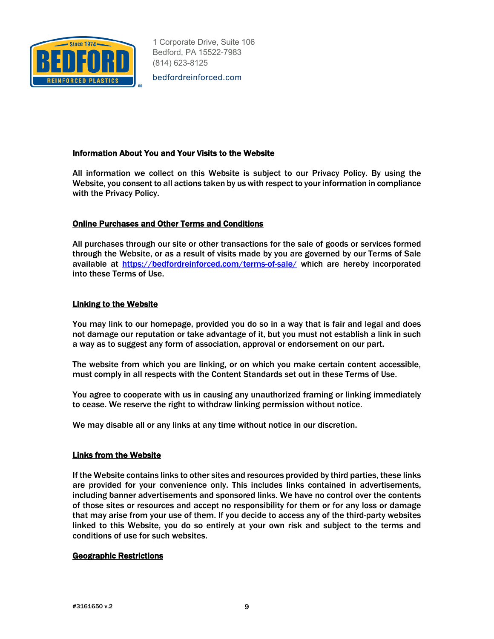

bedfordreinforced.com

## Information About You and Your Visits to the Website

All information we collect on this Website is subject to our Privacy Policy. By using the Website, you consent to all actions taken by us with respect to your information in compliance with the Privacy Policy.

## Online Purchases and Other Terms and Conditions

All purchases through our site or other transactions for the sale of goods or services formed through the Website, or as a result of visits made by you are governed by our Terms of Sale available at https://bedfordreinforced.com/terms-of-sale/ which are hereby incorporated into these Terms of Use.

#### Linking to the Website

You may link to our homepage, provided you do so in a way that is fair and legal and does not damage our reputation or take advantage of it, but you must not establish a link in such a way as to suggest any form of association, approval or endorsement on our part.

The website from which you are linking, or on which you make certain content accessible, must comply in all respects with the Content Standards set out in these Terms of Use.

You agree to cooperate with us in causing any unauthorized framing or linking immediately to cease. We reserve the right to withdraw linking permission without notice.

We may disable all or any links at any time without notice in our discretion.

#### Links from the Website

If the Website contains links to other sites and resources provided by third parties, these links are provided for your convenience only. This includes links contained in advertisements, including banner advertisements and sponsored links. We have no control over the contents of those sites or resources and accept no responsibility for them or for any loss or damage that may arise from your use of them. If you decide to access any of the third-party websites linked to this Website, you do so entirely at your own risk and subject to the terms and conditions of use for such websites.

#### Geographic Restrictions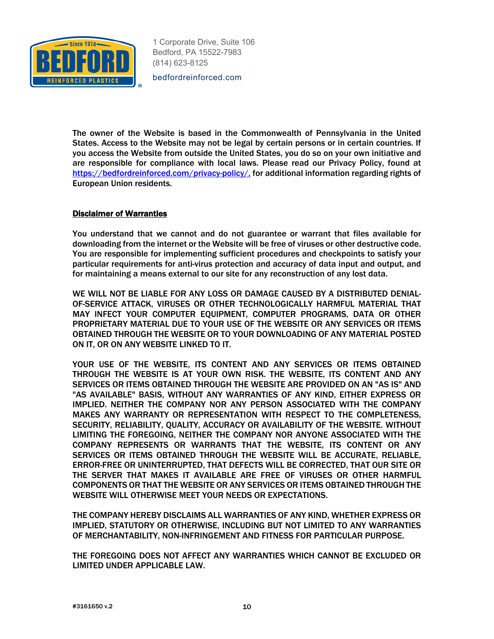

bedfordreinforced.com

The owner of the Website is based in the Commonwealth of Pennsylvania in the United States. Access to the Website may not be legal by certain persons or in certain countries. If you access the Website from outside the United States, you do so on your own initiative and are responsible for compliance with local laws. Please read our Privacy Policy, found at https://bedfordreinforced.com/privacy-policy/, for additional information regarding rights of European Union residents.

#### Disclaimer of Warranties

You understand that we cannot and do not guarantee or warrant that files available for downloading from the internet or the Website will be free of viruses or other destructive code. You are responsible for implementing sufficient procedures and checkpoints to satisfy your particular requirements for anti-virus protection and accuracy of data input and output, and for maintaining a means external to our site for any reconstruction of any lost data.

WE WILL NOT BE LIABLE FOR ANY LOSS OR DAMAGE CAUSED BY A DISTRIBUTED DENIAL-OF-SERVICE ATTACK, VIRUSES OR OTHER TECHNOLOGICALLY HARMFUL MATERIAL THAT MAY INFECT YOUR COMPUTER EQUIPMENT, COMPUTER PROGRAMS, DATA OR OTHER PROPRIETARY MATERIAL DUE TO YOUR USE OF THE WEBSITE OR ANY SERVICES OR ITEMS OBTAINED THROUGH THE WEBSITE OR TO YOUR DOWNLOADING OF ANY MATERIAL POSTED ON IT, OR ON ANY WEBSITE LINKED TO IT.

YOUR USE OF THE WEBSITE, ITS CONTENT AND ANY SERVICES OR ITEMS OBTAINED THROUGH THE WEBSITE IS AT YOUR OWN RISK. THE WEBSITE, ITS CONTENT AND ANY SERVICES OR ITEMS OBTAINED THROUGH THE WEBSITE ARE PROVIDED ON AN "AS IS" AND "AS AVAILABLE" BASIS, WITHOUT ANY WARRANTIES OF ANY KIND, EITHER EXPRESS OR IMPLIED. NEITHER THE COMPANY NOR ANY PERSON ASSOCIATED WITH THE COMPANY MAKES ANY WARRANTY OR REPRESENTATION WITH RESPECT TO THE COMPLETENESS, SECURITY, RELIABILITY, QUALITY, ACCURACY OR AVAILABILITY OF THE WEBSITE. WITHOUT LIMITING THE FOREGOING, NEITHER THE COMPANY NOR ANYONE ASSOCIATED WITH THE COMPANY REPRESENTS OR WARRANTS THAT THE WEBSITE, ITS CONTENT OR ANY SERVICES OR ITEMS OBTAINED THROUGH THE WEBSITE WILL BE ACCURATE, RELIABLE, ERROR-FREE OR UNINTERRUPTED, THAT DEFECTS WILL BE CORRECTED, THAT OUR SITE OR THE SERVER THAT MAKES IT AVAILABLE ARE FREE OF VIRUSES OR OTHER HARMFUL COMPONENTS OR THAT THE WEBSITE OR ANY SERVICES OR ITEMS OBTAINED THROUGH THE WEBSITE WILL OTHERWISE MEET YOUR NEEDS OR EXPECTATIONS.

THE COMPANY HEREBY DISCLAIMS ALL WARRANTIES OF ANY KIND, WHETHER EXPRESS OR IMPLIED, STATUTORY OR OTHERWISE, INCLUDING BUT NOT LIMITED TO ANY WARRANTIES OF MERCHANTABILITY, NON-INFRINGEMENT AND FITNESS FOR PARTICULAR PURPOSE.

THE FOREGOING DOES NOT AFFECT ANY WARRANTIES WHICH CANNOT BE EXCLUDED OR LIMITED UNDER APPLICABLE LAW.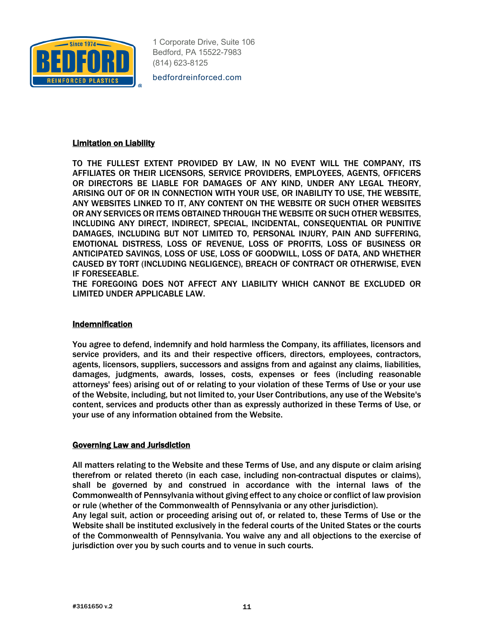

bedfordreinforced.com

#### Limitation on Liability

TO THE FULLEST EXTENT PROVIDED BY LAW, IN NO EVENT WILL THE COMPANY, ITS AFFILIATES OR THEIR LICENSORS, SERVICE PROVIDERS, EMPLOYEES, AGENTS, OFFICERS OR DIRECTORS BE LIABLE FOR DAMAGES OF ANY KIND, UNDER ANY LEGAL THEORY, ARISING OUT OF OR IN CONNECTION WITH YOUR USE, OR INABILITY TO USE, THE WEBSITE, ANY WEBSITES LINKED TO IT, ANY CONTENT ON THE WEBSITE OR SUCH OTHER WEBSITES OR ANY SERVICES OR ITEMS OBTAINED THROUGH THE WEBSITE OR SUCH OTHER WEBSITES, INCLUDING ANY DIRECT, INDIRECT, SPECIAL, INCIDENTAL, CONSEQUENTIAL OR PUNITIVE DAMAGES, INCLUDING BUT NOT LIMITED TO, PERSONAL INJURY, PAIN AND SUFFERING, EMOTIONAL DISTRESS, LOSS OF REVENUE, LOSS OF PROFITS, LOSS OF BUSINESS OR ANTICIPATED SAVINGS, LOSS OF USE, LOSS OF GOODWILL, LOSS OF DATA, AND WHETHER CAUSED BY TORT (INCLUDING NEGLIGENCE), BREACH OF CONTRACT OR OTHERWISE, EVEN IF FORESEEABLE.

THE FOREGOING DOES NOT AFFECT ANY LIABILITY WHICH CANNOT BE EXCLUDED OR LIMITED UNDER APPLICABLE LAW.

#### **Indemnification**

You agree to defend, indemnify and hold harmless the Company, its affiliates, licensors and service providers, and its and their respective officers, directors, employees, contractors, agents, licensors, suppliers, successors and assigns from and against any claims, liabilities, damages, judgments, awards, losses, costs, expenses or fees (including reasonable attorneys' fees) arising out of or relating to your violation of these Terms of Use or your use of the Website, including, but not limited to, your User Contributions, any use of the Website's content, services and products other than as expressly authorized in these Terms of Use, or your use of any information obtained from the Website.

#### Governing Law and Jurisdiction

All matters relating to the Website and these Terms of Use, and any dispute or claim arising therefrom or related thereto (in each case, including non-contractual disputes or claims), shall be governed by and construed in accordance with the internal laws of the Commonwealth of Pennsylvania without giving effect to any choice or conflict of law provision or rule (whether of the Commonwealth of Pennsylvania or any other jurisdiction).

Any legal suit, action or proceeding arising out of, or related to, these Terms of Use or the Website shall be instituted exclusively in the federal courts of the United States or the courts of the Commonwealth of Pennsylvania. You waive any and all objections to the exercise of jurisdiction over you by such courts and to venue in such courts.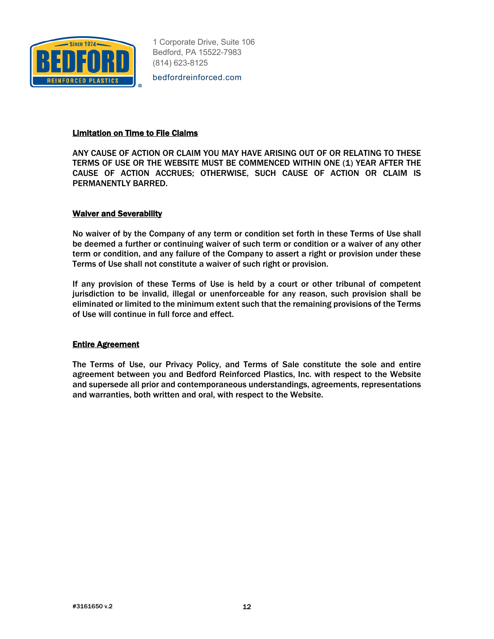

bedfordreinforced.com

## Limitation on Time to File Claims

ANY CAUSE OF ACTION OR CLAIM YOU MAY HAVE ARISING OUT OF OR RELATING TO THESE TERMS OF USE OR THE WEBSITE MUST BE COMMENCED WITHIN ONE (1) YEAR AFTER THE CAUSE OF ACTION ACCRUES; OTHERWISE, SUCH CAUSE OF ACTION OR CLAIM IS PERMANENTLY BARRED.

#### Waiver and Severability

No waiver of by the Company of any term or condition set forth in these Terms of Use shall be deemed a further or continuing waiver of such term or condition or a waiver of any other term or condition, and any failure of the Company to assert a right or provision under these Terms of Use shall not constitute a waiver of such right or provision.

If any provision of these Terms of Use is held by a court or other tribunal of competent jurisdiction to be invalid, illegal or unenforceable for any reason, such provision shall be eliminated or limited to the minimum extent such that the remaining provisions of the Terms of Use will continue in full force and effect.

## Entire Agreement

The Terms of Use, our Privacy Policy, and Terms of Sale constitute the sole and entire agreement between you and Bedford Reinforced Plastics, Inc. with respect to the Website and supersede all prior and contemporaneous understandings, agreements, representations and warranties, both written and oral, with respect to the Website.